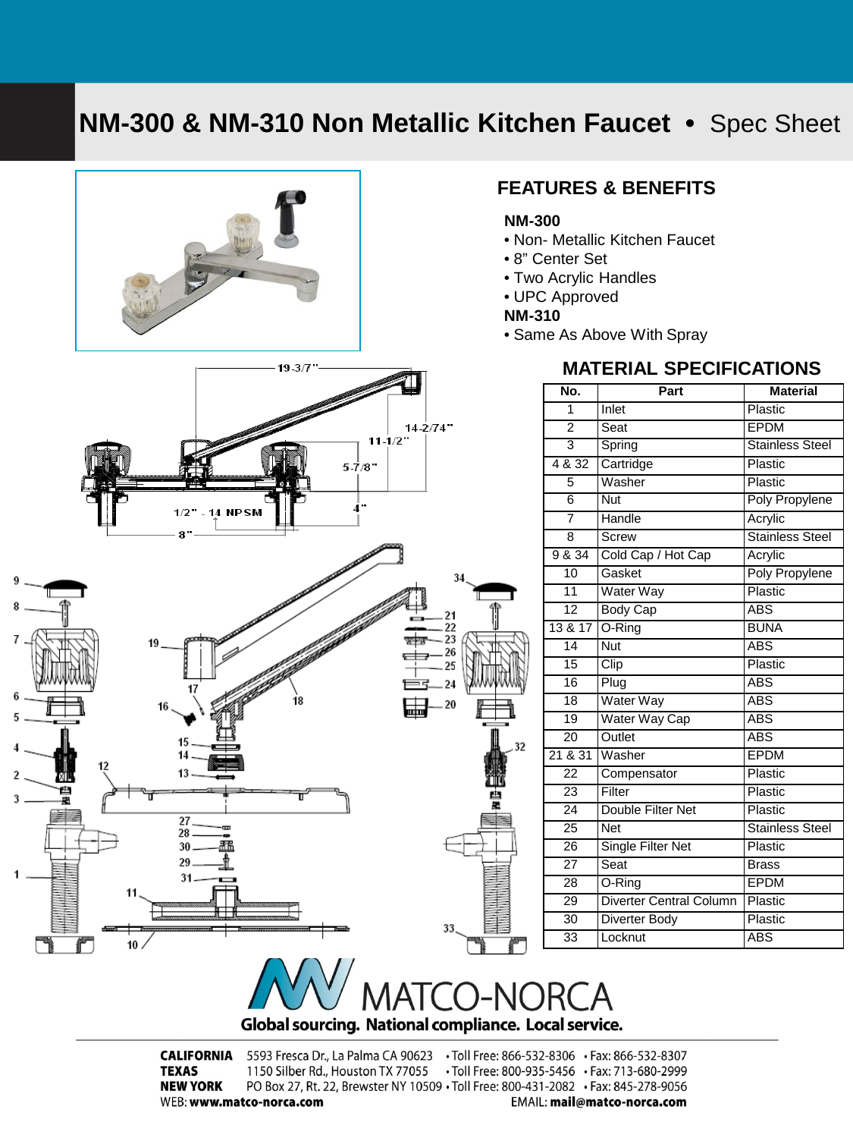# **NM-300 & NM-310 Non Metallic Kitchen Faucet •** Spec Sheet





## 22  $23$ 26 25 24 12 20 13 也  $\frac{27}{28}$ 30 痳 29  $31$  $10<sub>1</sub>$

### **FEATURES & BENEFITS**

#### **NM-300**

- Non- Metallic Kitchen Faucet
- 8" Center Set
- Two Acrylic Handles
- UPC Approved

#### **NM-310**

• Same As Above With Spray

#### **MATERIAL SPECIFICATIONS**

| No.             | Part                           | <b>Material</b>        |
|-----------------|--------------------------------|------------------------|
| 1               | Inlet                          | Plastic                |
| 2               | Seat                           | <b>EPDM</b>            |
| $\overline{3}$  | Spring                         | <b>Stainless Steel</b> |
| 4 & 32          | Cartridge                      | Plastic                |
| 5               | Washer                         | Plastic                |
| 6               | Nut                            | Poly Propylene         |
| 7               | Handle                         | Acrylic                |
| $\overline{8}$  | Screw                          | <b>Stainless Steel</b> |
| 9 & 34          | Cold Cap / Hot Cap             | Acrylic                |
| $\overline{10}$ | Gasket                         | Poly Propylene         |
| $\overline{11}$ | Water Way                      | Plastic                |
| $\overline{12}$ | <b>Body Cap</b>                | <b>ABS</b>             |
| 13 & 17         | O-Ring                         | <b>BUNA</b>            |
| $\overline{14}$ | <b>Nut</b>                     | <b>ABS</b>             |
| $\overline{15}$ | Clip                           | Plastic                |
| $\overline{16}$ | Plug                           | <b>ABS</b>             |
| $\overline{18}$ | Water Way                      | <b>ABS</b>             |
| $\overline{19}$ | Water Way Cap                  | <b>ABS</b>             |
| $\overline{20}$ | Outlet                         | <b>ABS</b>             |
| 21 & 31         | <b>Washer</b>                  | <b>EPDM</b>            |
| $\overline{22}$ | Compensator                    | Plastic                |
| $\overline{23}$ | Filter                         | Plastic                |
| $\overline{24}$ | Double Filter Net              | Plastic                |
| $\overline{25}$ | <b>Net</b>                     | <b>Stainless Steel</b> |
| $\overline{26}$ | <b>Single Filter Net</b>       | Plastic                |
| $\overline{27}$ | Seat                           | <b>Brass</b>           |
| $\overline{28}$ | O-Ring                         | <b>EPDM</b>            |
| 29              | <b>Diverter Central Column</b> | Plastic                |
| $\overline{30}$ | <b>Diverter Body</b>           | Plastic                |
| $\overline{33}$ | Locknut                        | <b>ABS</b>             |



**CALIFORNIA** 5593 Fresca Dr., La Palma CA 90623 . Toll Free: 866-532-8306 . Fax: 866-532-8307 **TEXAS** 1150 Silber Rd., Houston TX 77055 . Toll Free: 800-935-5456 . Fax: 713-680-2999 **NEW YORK** PO Box 27, Rt. 22, Brewster NY 10509 · Toll Free: 800-431-2082 · Fax: 845-278-9056 WEB: www.matco-norca.com EMAIL: mail@matco-norca.com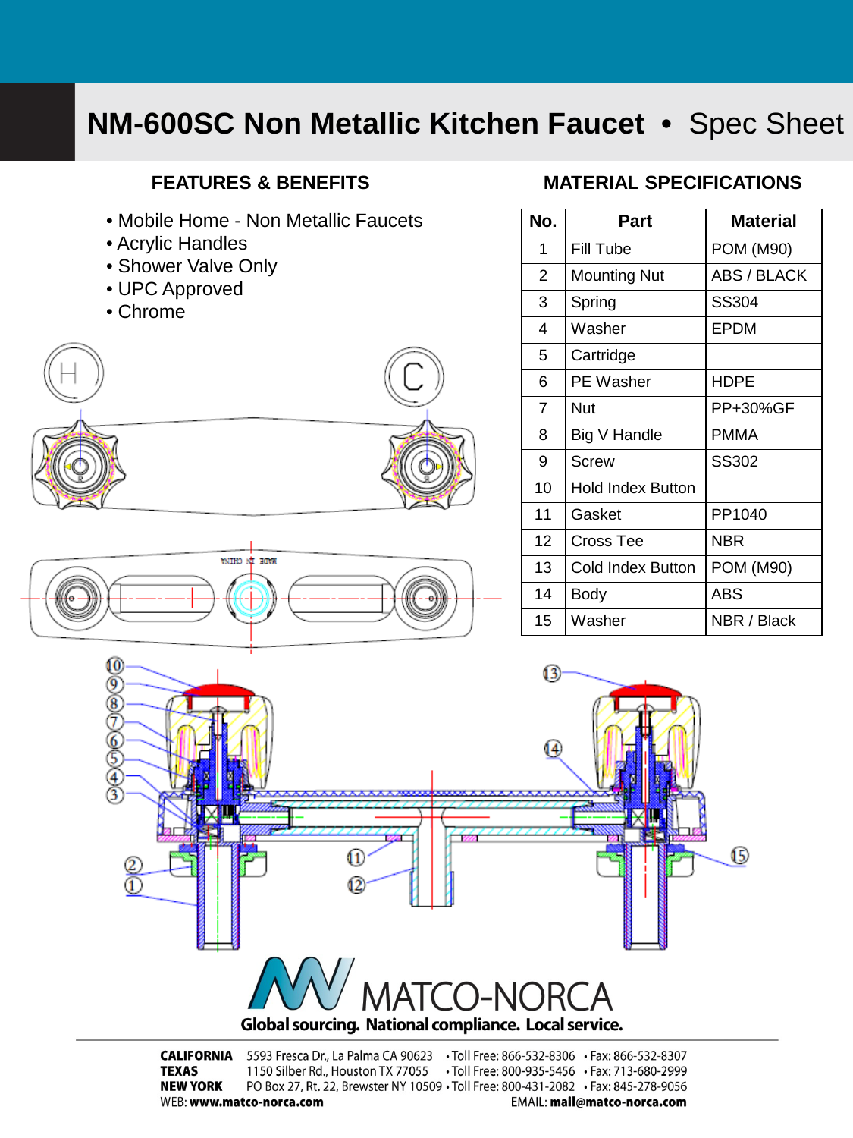## **NM-600SC Non Metallic Kitchen Faucet •** Spec Sheet

### **FEATURES & BENEFITS**

- Mobile Home Non Metallic Faucets
- Acrylic Handles
- Shower Valve Only
- UPC Approved
- Chrome





### **MATERIAL SPECIFICATIONS**

| No. | Part                | Material         |
|-----|---------------------|------------------|
| 1   | Fill Tube           | <b>POM (M90)</b> |
| 2   | <b>Mounting Nut</b> | ABS / BLACK      |
| 3   | Spring              | SS304            |
| 4   | Washer              | EPDM             |
| 5   | Cartridge           |                  |
| 6   | PE Washer           | HDPE             |
| 7   | Nut                 | PP+30%GF         |
| 8   | Big V Handle        | PMMA             |
| 9   | Screw               | SS302            |
| 10  | Hold Index Button   |                  |
| 11  | Gasket              | PP1040           |
| 12  | Cross Tee           | <b>NBR</b>       |
| 13  | Cold Index Button   | <b>POM (M90)</b> |
| 14  | Body                | ABS              |
| 15  | Washer              | NBR / Black      |



**CALIFORNIA** 5593 Fresca Dr., La Palma CA 90623 . Toll Free: 866-532-8306 . Fax: 866-532-8307 **TEXAS** 1150 Silber Rd., Houston TX 77055 . Toll Free: 800-935-5456 . Fax: 713-680-2999 PO Box 27, Rt. 22, Brewster NY 10509 · Toll Free: 800-431-2082 · Fax: 845-278-9056 **NEW YORK** WEB: www.matco-norca.com EMAIL: mail@matco-norca.com